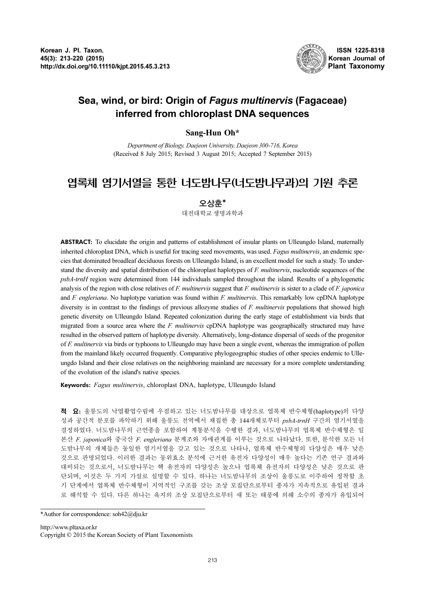

## Sea, wind, or bird: Origin of Fagus multinervis (Fagaceae) inferred from chloroplast DNA sequences

Sang-Hun Oh\*<br>Department of Biology, Daejeon University, Daejeon 300-716, Korea (Received 8 July 2015; Revised 3 August 2015; Accepted 7 September 2015)

# 엽록체 염기서열을 통한 너도밤나무(너도밤나무과)의 기원 추론

### 오상훈\*

대전대학교 생명과학과

ABSTRACT: To elucidate the origin and patterns of establishment of insular plants on Ulleungdo Island, maternally inherited chloroplast DNA, which is useful for tracing seed movements, was used. Fagus multinervis, an endemic species that dominated broadleaf deciduous forests on Ulleungdo Island, is an excellent model for such a study. To understand the diversity and spatial distribution of the chloroplast haplotypes of F. multinervis, nucleotide sequences of the psbA-trnH region were determined from 144 individuals sampled throughout the island. Results of a phylogenetic analysis of the region with close relatives of F. multinervis suggest that F. multinervis is sister to a clade of F. japonica and F. engleriana. No haplotype variation was found within F. multinervis. This remarkably low cpDNA haplotype diversity is in contrast to the findings of previous allozyme studies of  $F.$  multinervis populations that showed high genetic diversity on Ulleungdo Island. Repeated colonization during the early stage of establishment via birds that migrated from a source area where the  $F.$  multinervis cpDNA haplotype was geographically structured may have resulted in the observed pattern of haplotype diversity. Alternatively, long-distance dispersal of seeds of the progenitor of F. multinervis via birds or typhoons to Ulleungdo may have been a single event, whereas the immigration of pollen from the mainland likely occurred frequently. Comparative phylogeographic studies of other species endemic to Ulleungdo Island and their close relatives on the neighboring mainland are necessary for a more complete understanding of the evolution of the island's native species.

Keywords: Fagus multinervis, chloroplast DNA, haplotype, Ulleungdo Island

적 요: 울릉도의 낙엽활엽수림에 우점하고 있는 너도밤나무를 대상으로 엽록체 반수체형(haplotype)의 다양 성과 공간적 분포를 파악하기 위해 울릉도 전역에서 채집한 총 144개체로부터 psbA-trnH 구간의 염기서열을 결정하였다. 너도밤나무의 근연종을 포함하여 계통분석을 수행한 결과, 너도밤나무의 엽록체 반수체형은 일 본산 F. japonica<sup>와</sup> 중국산 F. engleriana 분계조와 자매관계를 이루는 것으로 나타났다. 또한, 분석한 모든 <sup>너</sup> 도밤나무의 개체들은 동일한 염기서열을 갖고 있는 것으로 나타나, 엽록체 반수체형의 다양성은 매우 낮은 것으로 판명되었다. 이러한 결과는 동위효소 분석에 근거한 유전자 다양성이 매우 높다는 기존 연구 결과와 대비되는 것으로서, 너도밤나무는 핵 유전자의 다양성은 높으나 엽록체 유전자의 다양성은 낮은 것으로 판 단되며, 이것은 두 가지 가설로 설명할 수 있다. 하나는 너도밤나무의 조상이 울릉도로 이주하여 정착할 초 기 단계에서 엽록체 반수체형이 지역적인 구조를 갖는 조상 모집단으로부터 종자가 지속적으로 유입된 결과 로 해석할 수 있다. 다른 하나는 육지의 조상 모집단으로부터 새 또는 태풍에 의해 소수의 종자가 유입되어

<sup>\*</sup>Author for correspondence: soh42@dju.kr

http://www.pltaxa.or.kr Copyright © 2015 the Korean Society of Plant Taxonomists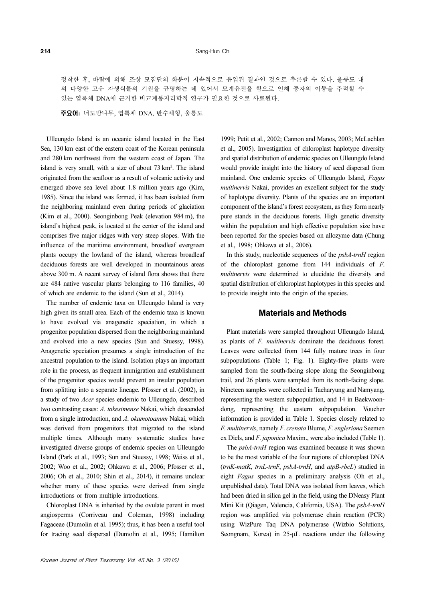정착한 후, 바람에 의해 조상 모집단의 화분이 지속적으로 유입된 결과인 것으로 추론할 수 있다. 울릉도 내 의 다양한 고유 자생식물의 기원을 규명하는 데 있어서 모계유전을 함으로 인해 종자의 이동을 추적할 수 있는 엽록체 DNA에 근거한 비교계통지리학적 연구가 필요한 것으로 사료된다.

주요어: 너도밤나무, 엽록체 DNA, 반수체형, 울릉도

Ulleungdo Island is an oceanic island located in the East Sea, 130 km east of the eastern coast of the Korean peninsula and 280 km northwest from the western coast of Japan. The island is very small, with a size of about 73 km<sup>2</sup>. The island originated from the seafloor as a result of volcanic activity and emerged above sea level about 1.8 million years ago (Kim, 1985). Since the island was formed, it has been isolated from the neighboring mainland even during periods of glaciation (Kim et al., 2000). Seonginbong Peak (elevation 984 m), the island's highest peak, is located at the center of the island and comprises five major ridges with very steep slopes. With the influence of the maritime environment, broadleaf evergreen plants occupy the lowland of the island, whereas broadleaf deciduous forests are well developed in mountainous areas above 300 m. A recent survey of island flora shows that there are 484 native vascular plants belonging to 116 families, 40 of which are endemic to the island (Sun et al., 2014).

The number of endemic taxa on Ulleungdo Island is very high given its small area. Each of the endemic taxa is known to have evolved via anagenetic speciation, in which a progenitor population dispersed from the neighboring mainland and evolved into a new species (Sun and Stuessy, 1998). Anagenetic speciation presumes a single introduction of the ancestral population to the island. Isolation plays an important role in the process, as frequent immigration and establishment of the progenitor species would prevent an insular population from splitting into a separate lineage. Pfosser et al. (2002), in a study of two Acer species endemic to Ulleungdo, described two contrasting cases: A. takesimense Nakai, which descended from a single introduction, and A. okamotoanum Nakai, which was derived from progenitors that migrated to the island multiple times. Although many systematic studies have investigated diverse groups of endemic species on Ulleungdo Island (Park et al., 1993; Sun and Stuessy, 1998; Weiss et al., 2002; Woo et al., 2002; Ohkawa et al., 2006; Pfosser et al., 2006; Oh et al., 2010; Shin et al., 2014), it remains unclear whether many of these species were derived from single introductions or from multiple introductions.

Chloroplast DNA is inherited by the ovulate parent in most angiosperms (Corriveau and Coleman, 1998) including Fagaceae (Dumolin et al. 1995); thus, it has been a useful tool for tracing seed dispersal (Dumolin et al., 1995; Hamilton

1999; Petit et al., 2002; Cannon and Manos, 2003; McLachlan et al., 2005). Investigation of chloroplast haplotype diversity and spatial distribution of endemic species on Ulleungdo Island would provide insight into the history of seed dispersal from mainland. One endemic species of Ulleungdo Island, Fagus multinervis Nakai, provides an excellent subject for the study of haplotype diversity. Plants of the species are an important component of the island's forest ecosystem, as they form nearly pure stands in the deciduous forests. High genetic diversity within the population and high effective population size have been reported for the species based on allozyme data (Chung et al., 1998; Ohkawa et al., 2006).

In this study, nucleotide sequences of the psbA-trnH region of the chloroplast genome from 144 individuals of F. multinervis were determined to elucidate the diversity and spatial distribution of chloroplast haplotypes in this species and to provide insight into the origin of the species.

#### Materials and Methods

Plant materials were sampled throughout Ulleungdo Island, as plants of F. multinervis dominate the deciduous forest. Leaves were collected from 144 fully mature trees in four subpopulations (Table 1; Fig. 1). Eighty-five plants were sampled from the south-facing slope along the Seonginbong trail, and 26 plants were sampled from its north-facing slope. Nineteen samples were collected in Taeharyung and Namyang, representing the western subpopulation, and 14 in Baekwoondong, representing the eastern subpopulation. Voucher information is provided in Table 1. Species closely related to F. multinervis, namely F. crenata Blume, F. engleriana Seemen ex Diels, and F. japonica Maxim., were also included (Table 1).

The psbA-trnH region was examined because it was shown to be the most variable of the four regions of chloroplast DNA (trnK-matK, trnL-trnF, psbA-trnH, and atpB-rbcL) studied in eight Fagus species in a preliminary analysis (Oh et al., unpublished data). Total DNA was isolated from leaves, which had been dried in silica gel in the field, using the DNeasy Plant Mini Kit (Qiagen, Valencia, California, USA). The psbA-trnH region was amplified via polymerase chain reaction (PCR) using WizPure Taq DNA polymerase (Wizbio Solutions, Seongnam, Korea) in 25-µL reactions under the following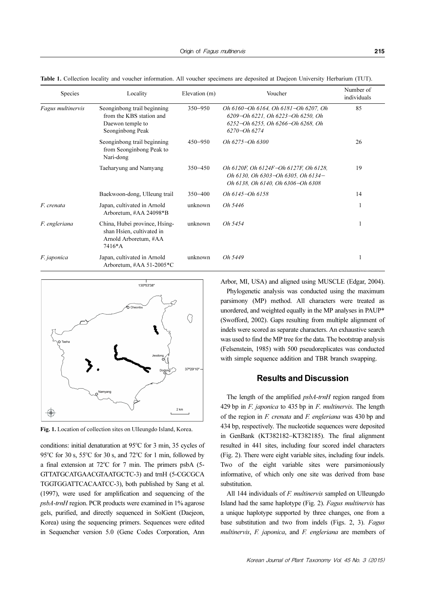| <b>Species</b>    | Locality                                                                                        | Elevation (m) | Voucher                                                                                                                        | Number of<br>individuals |
|-------------------|-------------------------------------------------------------------------------------------------|---------------|--------------------------------------------------------------------------------------------------------------------------------|--------------------------|
| Fagus multinervis | Seonginbong trail beginning<br>from the KBS station and<br>Daewon temple to<br>Seonginbong Peak | $350 - 950$   | Oh 6160–Oh 6164, Oh 6181–Oh 6207, Oh<br>6209-Oh 6221, Oh 6223-Oh 6250, Oh<br>6252-Oh 6255, Oh 6266-Oh 6268, Oh<br>6270-Oh 6274 | 85                       |
|                   | Seonginbong trail beginning<br>from Seonginbong Peak to<br>Nari-dong                            | $450 - 950$   | $Oh 6275 - Oh 6300$                                                                                                            | 26                       |
|                   | Taeharyung and Namyang                                                                          | $350 - 450$   | Oh 6120F, Oh 6124F-Oh 6127F, Oh 6128,<br>Oh 6130, Oh 6303-Oh 6305, Oh 6134-<br>Oh 6138, Oh 6140, Oh 6306-Oh 6308               | 19                       |
|                   | Baekwoon-dong, Ulleung trail                                                                    | $350 - 400$   | Oh 6145-Oh 6158                                                                                                                | 14                       |
| F. crenata        | Japan, cultivated in Arnold<br>Arboretum, #AA 24098*B                                           | unknown       | Oh 5446                                                                                                                        | 1                        |
| F. engleriana     | China, Hubei province, Hsing-<br>shan Hsien, cultivated in<br>Arnold Arboretum, #AA<br>$7416*A$ | unknown       | Oh 5454                                                                                                                        | 1                        |
| F. japonica       | Japan, cultivated in Arnold<br>Arboretum, #AA 51-2005 $\text{*}C$                               | unknown       | Oh 5449                                                                                                                        | 1                        |

Table 1. Collection locality and voucher information. All voucher specimens are deposited at Daejeon University Herbarium (TUT).



Fig. 1. Location of collection sites on Ulleungdo Island, Korea.

conditions: initial denaturation at 95°C for 3 min, 35 cycles of 95°C for 30 s, 55°C for 30 s, and 72°C for 1 min, followed by a final extension at 72°C for 7 min. The primers psbA (5-GTTATGCATGAACGTAATGCTC-3) and trnH (5-CGCGCA TGGTGGATTCACAATCC-3), both published by Sang et al. (1997), were used for amplification and sequencing of the psbA-trnH region. PCR products were examined in 1% agarose gels, purified, and directly sequenced in SolGent (Daejeon, Korea) using the sequencing primers. Sequences were edited in Sequencher version 5.0 (Gene Codes Corporation, Ann Arbor, MI, USA) and aligned using MUSCLE (Edgar, 2004).

Phylogenetic analysis was conducted using the maximum parsimony (MP) method. All characters were treated as unordered, and weighted equally in the MP analyses in PAUP\* (Swofford, 2002). Gaps resulting from multiple alignment of indels were scored as separate characters. An exhaustive search was used to find the MP tree for the data. The bootstrap analysis (Felsenstein, 1985) with 500 pseudoreplicates was conducted with simple sequence addition and TBR branch swapping.

#### Results and Discussion

The length of the amplified *psbA-trnH* region ranged from 429 bp in  $F$ . *japonica* to 435 bp in  $F$ . *multinervis*. The length of the region in F. crenata and F. engleriana was 430 bp and 434 bp, respectively. The nucleotide sequences were deposited in GenBank (KT382182−KT382185). The final alignment resulted in 441 sites, including four scored indel characters (Fig. 2). There were eight variable sites, including four indels. Two of the eight variable sites were parsimoniously informative, of which only one site was derived from base substitution.

All 144 individuals of *F. multinervis* sampled on Ulleungdo Island had the same haplotype (Fig. 2). Fagus multinervis has a unique haplotype supported by three changes, one from a base substitution and two from indels (Figs. 2, 3). Fagus multinervis, F. japonica, and F. engleriana are members of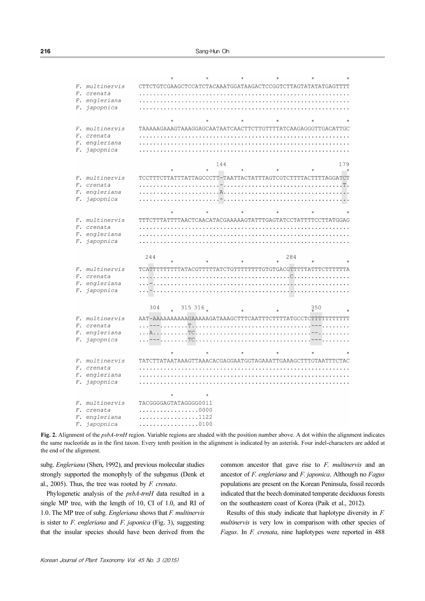|  | F. multinervis | CTTCTGTCGAAGCTCCATCTACAAATGGATAAGACTCCGGTCTTAGTATATATGAGTTTT |                |         |         |     |     |     |
|--|----------------|--------------------------------------------------------------|----------------|---------|---------|-----|-----|-----|
|  | F. crenata     |                                                              |                |         |         |     |     |     |
|  | F. engleriana  |                                                              |                |         |         |     |     |     |
|  | F. japopnica   |                                                              |                |         |         |     |     |     |
|  |                |                                                              |                |         |         |     |     |     |
|  |                | $\star$                                                      |                |         | $\star$ |     |     |     |
|  | F. multinervis | TAAAAAGAAAGTAAAGGAGCAATAATCAACTTCTTGTTTTATCAAGAGGGTTGACATTGC |                |         |         |     |     |     |
|  | F. crenata     |                                                              |                |         |         |     |     |     |
|  | F. engleriana  |                                                              |                |         |         |     |     |     |
|  | F. japopnica   |                                                              |                |         |         |     |     |     |
|  |                |                                                              |                |         |         |     |     |     |
|  |                |                                                              |                | 144     |         |     |     | 179 |
|  |                |                                                              |                |         |         |     |     |     |
|  | F. multinervis | TCCTTTCTTATTTATTAGCCCTT-TAATTACTATTTAGTCGTCTTTTACTTTTAGGATCT |                |         |         |     |     |     |
|  | F. crenata     |                                                              |                |         |         |     |     |     |
|  |                |                                                              |                |         |         |     |     |     |
|  | F. engleriana  |                                                              |                |         |         |     |     |     |
|  | F. japopnica   |                                                              |                |         |         |     |     |     |
|  |                |                                                              |                |         |         |     |     |     |
|  |                |                                                              |                |         |         |     |     |     |
|  | F. multinervis | TTTCTTTATTTTAACTCAACATACGAAAAAGTATTTGAGTATCCTATTTTCCTTATGGAG |                |         |         |     |     |     |
|  | F. crenata     |                                                              |                |         |         |     |     |     |
|  | F. engleriana  |                                                              |                |         |         |     |     |     |
|  | F. japopnica   |                                                              |                |         |         |     |     |     |
|  |                |                                                              |                |         |         |     |     |     |
|  |                | 244                                                          |                |         |         | 284 |     |     |
|  |                |                                                              |                |         |         |     |     |     |
|  | F. multinervis | TCATTTTTTTTTATACGTTTTTATCTGTTTTTTTTGTGTGACGTTTTTATTTCTTTTTTA |                |         |         |     |     |     |
|  | F. crenata     |                                                              |                |         |         |     |     |     |
|  | F. engleriana  |                                                              |                |         |         |     |     |     |
|  | F. japopnica   |                                                              |                |         |         |     |     |     |
|  |                |                                                              |                |         |         |     |     |     |
|  |                | 304                                                          | 315 316 $_{*}$ |         |         |     | 350 |     |
|  |                |                                                              |                |         |         |     |     |     |
|  | F. multinervis |                                                              |                |         |         |     |     |     |
|  | F. crenata     |                                                              |                |         |         |     |     |     |
|  | F. engleriana  |                                                              |                |         |         |     |     |     |
|  | F. japopnica   |                                                              |                |         |         |     |     |     |
|  |                |                                                              |                |         |         |     |     |     |
|  |                |                                                              |                |         |         |     |     |     |
|  | F. multinervis | TATCTTATAATAAAGTTAAACACGAGGAATGGTAGAAATTGAAAGCTTTGTAATTTCTAC |                |         |         |     |     |     |
|  | F. crenata     |                                                              |                |         |         |     |     |     |
|  | F. engleriana  |                                                              |                |         |         |     |     |     |
|  | F. japopnica   |                                                              |                |         |         |     |     |     |
|  |                |                                                              |                |         |         |     |     |     |
|  |                | $\star$                                                      |                | $\star$ |         |     |     |     |
|  | F. multinervis | TACGGGGAGTATAGGGG0011                                        |                |         |         |     |     |     |
|  | F. crenata     | . 0000                                                       |                |         |         |     |     |     |
|  | F. engleriana  | . 1122                                                       |                |         |         |     |     |     |
|  | F. japopnica   | 0100                                                         |                |         |         |     |     |     |

Fig. 2. Alignment of the *psbA-trnH* region. Variable regions are shaded with the position number above. A dot within the alignment indicates the same nucleotide as in the first taxon. Every tenth position in the alignment is indicated by an asterisk. Four indel-characters are added at the end of the alignment.

subg. Engleriana (Shen, 1992), and previous molecular studies strongly supported the monophyly of the subgenus (Denk et al., 2005). Thus, the tree was rooted by F. crenata.

Phylogenetic analysis of the *psbA-trnH* data resulted in a single MP tree, with the length of 10, CI of 1.0, and RI of 1.0. The MP tree of subg. Engleriana shows that  $F$  multinervis is sister to  $F$ . engleriana and  $F$ . japonica (Fig. 3), suggesting that the insular species should have been derived from the

common ancestor that gave rise to F. multinervis and an ancestor of F. engleriana and F. japonica. Although no Fagus populations are present on the Korean Peninsula, fossil records indicated that the beech dominated temperate deciduous forests on the southeastern coast of Korea (Paik et al., 2012).

Results of this study indicate that haplotype diversity in F. multinervis is very low in comparison with other species of Fagus. In F. crenata, nine haplotypes were reported in 488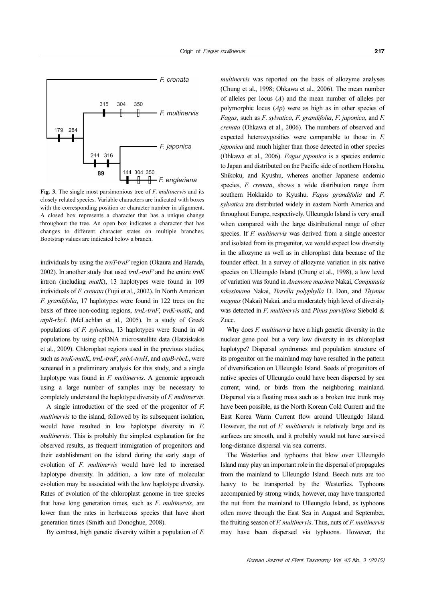

Fig. 3. The single most parsimonious tree of *F. multinervis* and its closely related species. Variable characters are indicated with boxes with the corresponding position or character number in alignment. A closed box represents a character that has a unique change throughout the tree. An open box indicates a character that has changes to different character states on multiple branches. Bootstrap values are indicated below a branch.

individuals by using the  $trnT-trnF$  region (Okaura and Harada, 2002). In another study that used  $trnL-trnF$  and the entire  $trnK$ intron (including  $m \alpha t K$ ), 13 haplotypes were found in 109 individuals of F. crenata (Fujii et al., 2002). In North American F. grandifolia, 17 haplotypes were found in 122 trees on the basis of three non-coding regions, trnL-trnF, trnK-matK, and atpB-rbcL (McLachlan et al., 2005). In a study of Greek populations of F. sylvatica, 13 haplotypes were found in 40 populations by using cpDNA microsatellite data (Hatziskakis et al., 2009). Chloroplast regions used in the previous studies, such as trnK-matK, trnL-trnF, psbA-trnH, and atpB-rbcL, were screened in a preliminary analysis for this study, and a single haplotype was found in *F. multinervis*. A genomic approach using a large number of samples may be necessary to completely understand the haplotype diversity of F. multinervis.

A single introduction of the seed of the progenitor of F. multinervis to the island, followed by its subsequent isolation, would have resulted in low haplotype diversity in F. multinervis. This is probably the simplest explanation for the observed results, as frequent immigration of progenitors and their establishment on the island during the early stage of evolution of F. multinervis would have led to increased haplotype diversity. In addition, a low rate of molecular evolution may be associated with the low haplotype diversity. Rates of evolution of the chloroplast genome in tree species that have long generation times, such as  $F$ . multinervis, are lower than the rates in herbaceous species that have short generation times (Smith and Donoghue, 2008).

By contrast, high genetic diversity within a population of F.

multinervis was reported on the basis of allozyme analyses (Chung et al., 1998; Ohkawa et al., 2006). The mean number of alleles per locus  $(A)$  and the mean number of alleles per polymorphic locus  $(Ap)$  were as high as in other species of Fagus, such as F. sylvatica, F. grandifolia, F. japonica, and F. crenata (Ohkawa et al., 2006). The numbers of observed and expected heterozygosities were comparable to those in F. japonica and much higher than those detected in other species (Ohkawa et al., 2006). Fagus japonica is a species endemic to Japan and distributed on the Pacific side of northern Honshu, Shikoku, and Kyushu, whereas another Japanese endemic species, *F. crenata*, shows a wide distribution range from southern Hokkaido to Kyushu. Fagus grandifolia and F. sylvatica are distributed widely in eastern North America and throughout Europe, respectively. Ulleungdo Island is very small when compared with the large distributional range of other species. If F. multinervis was derived from a single ancestor and isolated from its progenitor, we would expect low diversity in the allozyme as well as in chloroplast data because of the founder effect. In a survey of allozyme variation in six native species on Ulleungdo Island (Chung et al., 1998), a low level of variation was found in Anemone maxima Nakai, Campanula takesimana Nakai, Tiarella polyphylla D. Don, and Thymus magnus (Nakai) Nakai, and a moderately high level of diversity was detected in *F. multinervis* and *Pinus parviflora* Siebold & Zucc.

Why does *F. multinervis* have a high genetic diversity in the nuclear gene pool but a very low diversity in its chloroplast haplotype? Dispersal syndromes and population structure of its progenitor on the mainland may have resulted in the pattern of diversification on Ulleungdo Island. Seeds of progenitors of native species of Ulleungdo could have been dispersed by sea current, wind, or birds from the neighboring mainland. Dispersal via a floating mass such as a broken tree trunk may have been possible, as the North Korean Cold Current and the East Korea Warm Current flow around Ulleungdo Island. However, the nut of  $F$ . *multinervis* is relatively large and its surfaces are smooth, and it probably would not have survived long-distance dispersal via sea currents.

The Westerlies and typhoons that blow over Ulleungdo Island may play an important role in the dispersal of propagules from the mainland to Ulleungdo Island. Beech nuts are too heavy to be transported by the Westerlies. Typhoons accompanied by strong winds, however, may have transported the nut from the mainland to Ulleungdo Island, as typhoons often move through the East Sea in August and September, the fruiting season of  $F$ . multinervis. Thus, nuts of  $F$ . multinervis may have been dispersed via typhoons. However, the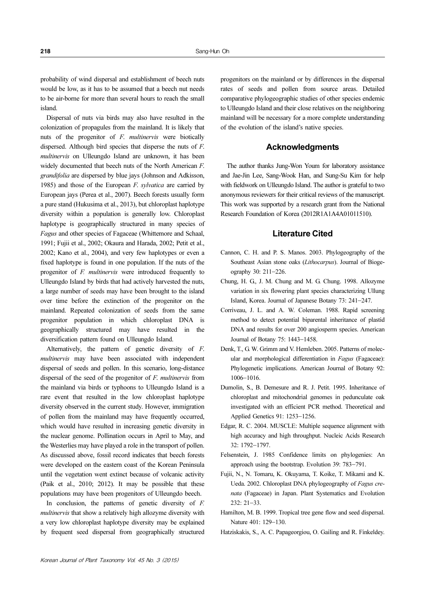probability of wind dispersal and establishment of beech nuts would be low, as it has to be assumed that a beech nut needs to be air-borne for more than several hours to reach the small island.

Dispersal of nuts via birds may also have resulted in the colonization of propagules from the mainland. It is likely that nuts of the progenitor of F. multinervis were biotically dispersed. Although bird species that disperse the nuts of F. multinervis on Ulleungdo Island are unknown, it has been widely documented that beech nuts of the North American F. grandifolia are dispersed by blue jays (Johnson and Adkisson, 1985) and those of the European F. sylvatica are carried by European jays (Perea et al., 2007). Beech forests usually form a pure stand (Hukusima et al., 2013), but chloroplast haplotype diversity within a population is generally low. Chloroplast haplotype is geographically structured in many species of Fagus and other species of Fagaceae (Whittemore and Schaal, 1991; Fujii et al., 2002; Okaura and Harada, 2002; Petit et al., 2002; Kano et al., 2004), and very few haplotypes or even a fixed haplotype is found in one population. If the nuts of the progenitor of F. multinervis were introduced frequently to Ulleungdo Island by birds that had actively harvested the nuts, a large number of seeds may have been brought to the island over time before the extinction of the progenitor on the mainland. Repeated colonization of seeds from the same progenitor population in which chloroplast DNA is geographically structured may have resulted in the diversification pattern found on Ulleungdo Island.

Alternatively, the pattern of genetic diversity of F. multinervis may have been associated with independent dispersal of seeds and pollen. In this scenario, long-distance dispersal of the seed of the progenitor of F. multinervis from the mainland via birds or typhoons to Ulleungdo Island is a rare event that resulted in the low chloroplast haplotype diversity observed in the current study. However, immigration of pollen from the mainland may have frequently occurred, which would have resulted in increasing genetic diversity in the nuclear genome. Pollination occurs in April to May, and the Westerlies may have played a role in the transport of pollen. As discussed above, fossil record indicates that beech forests were developed on the eastern coast of the Korean Peninsula until the vegetation went extinct because of volcanic activity (Paik et al., 2010; 2012). It may be possible that these populations may have been progenitors of Ulleungdo beech.

In conclusion, the patterns of genetic diversity of F. multinervis that show a relatively high allozyme diversity with a very low chloroplast haplotype diversity may be explained by frequent seed dispersal from geographically structured progenitors on the mainland or by differences in the dispersal rates of seeds and pollen from source areas. Detailed comparative phylogeographic studies of other species endemic to Ulleungdo Island and their close relatives on the neighboring mainland will be necessary for a more complete understanding of the evolution of the island's native species.

#### **Acknowledaments**

The author thanks Jung-Won Youm for laboratory assistance and Jae-Jin Lee, Sang-Wook Han, and Sung-Su Kim for help with fieldwork on Ulleungdo Island. The author is grateful to two anonymous reviewers for their critical reviews of the manuscript. This work was supported by a research grant from the National Research Foundation of Korea (2012R1A1A4A01011510).

#### Literature Cited

- Cannon, C. H. and P. S. Manos. 2003. Phylogeography of the Southeast Asian stone oaks (Lithocarpus). Journal of Biogeography 30: 211−226.
- Chung, H. G., J. M. Chung and M. G. Chung. 1998. Allozyme variation in six flowering plant species characterizing Ullung Island, Korea. Journal of Japanese Botany 73: 241−247.
- Corriveau, J. L. and A. W. Coleman. 1988. Rapid screening method to detect potential biparental inheritance of plastid DNA and results for over 200 angiosperm species. American Journal of Botany 75: 1443−1458.
- Denk, T., G. W. Grimm and V. Hemleben. 2005. Patterns of molecular and morphological differentiation in Fagus (Fagaceae): Phylogenetic implications. American Journal of Botany 92: 1006−1016.
- Dumolin, S., B. Demesure and R. J. Petit. 1995. Inheritance of chloroplast and mitochondrial genomes in pedunculate oak investigated with an efficient PCR method. Theoretical and Applied Genetics 91: 1253−1256.
- Edgar, R. C. 2004. MUSCLE: Multiple sequence alignment with high accuracy and high throughput. Nucleic Acids Research 32: 1792−1797.
- Felsenstein, J. 1985 Confidence limits on phylogenies: An approach using the bootstrap. Evolution 39: 783−791.
- Fujii, N., N. Tomaru, K. Okuyama, T. Koike, T. Mikami and K. Ueda. 2002. Chloroplast DNA phylogeography of Fagus crenata (Fagaceae) in Japan. Plant Systematics and Evolution 232: 21−33.
- Hamilton, M. B. 1999. Tropical tree gene flow and seed dispersal. Nature 401: 129−130.
- Hatziskakis, S., A. C. Papageorgiou, O. Gailing and R. Finkeldey.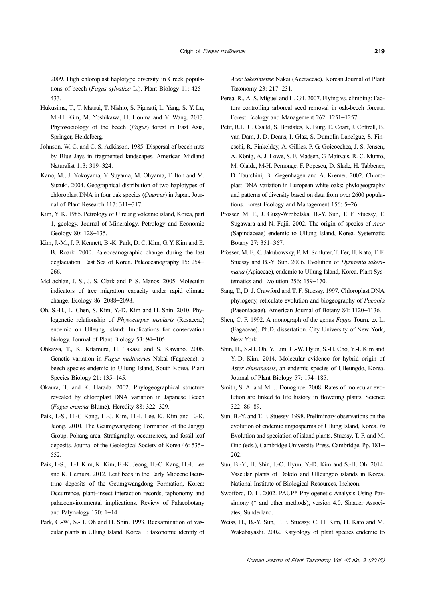2009. High chloroplast haplotype diversity in Greek populations of beech (Fagus sylvatica L.). Plant Biology 11: 425<sup>−</sup> 433.

- Hukusima, T., T. Matsui, T. Nishio, S. Pignatti, L. Yang, S. Y. Lu, M.-H. Kim, M. Yoshikawa, H. Honma and Y. Wang. 2013. Phytosociology of the beech (Fagus) forest in East Asia, Springer, Heidelberg.
- Johnson, W. C. and C. S. Adkisson. 1985. Dispersal of beech nuts by Blue Jays in fragmented landscapes. American Midland Naturalist 113: 319−324.
- Kano, M., J. Yokoyama, Y. Suyama, M. Ohyama, T. Itoh and M. Suzuki. 2004. Geographical distribution of two haplotypes of chloroplast DNA in four oak species (Quercus) in Japan. Journal of Plant Research 117: 311−317.
- Kim, Y. K. 1985. Petrology of Ulreung volcanic island, Korea, part 1, geology. Journal of Mineralogy, Petrology and Economic Geology 80: 128−135.
- Kim, J.-M., J. P. Kennett, B.-K. Park, D. C. Kim, G. Y. Kim and E. B. Roark. 2000. Paleoceanographic change during the last deglaciation, East Sea of Korea. Paleoceanography 15: 254− 266.
- McLachlan, J. S., J. S. Clark and P. S. Manos. 2005. Molecular indicators of tree migration capacity under rapid climate change. Ecology 86: 2088−2098.
- Oh, S.-H., L. Chen, S. Kim, Y.-D. Kim and H. Shin. 2010. Phylogenetic relationship of Physocarpus insularis (Rosaceae) endemic on Ulleung Island: Implications for conservation biology. Journal of Plant Biology 53: 94−105.
- Ohkawa, T., K. Kitamura, H. Takasu and S. Kawano. 2006. Genetic variation in Fagus multinervis Nakai (Fagaceae), a beech species endemic to Ullung Island, South Korea. Plant Species Biology 21: 135−145.
- Okaura, T. and K. Harada. 2002. Phylogeographical structure revealed by chloroplast DNA variation in Japanese Beech (Fagus crenata Blume). Heredity 88: 322−329.
- Paik, I.-S., H.-C Kang, H.-J. Kim, H.-I. Lee, K. Kim and E.-K. Jeong. 2010. The Geumgwangdong Formation of the Janggi Group, Pohang area: Stratigraphy, occurrences, and fossil leaf deposits. Journal of the Geological Society of Korea 46: 535− 552.
- Paik, I.-S., H.-J. Kim, K. Kim, E.-K. Jeong, H.-C. Kang, H.-I. Lee and K. Uemura. 2012. Leaf beds in the Early Miocene lacustrine deposits of the Geumgwangdong Formation, Korea: Occurrence, plant–insect interaction records, taphonomy and palaeoenvironmental implications. Review of Palaeobotany and Palynology 170: 1−14.
- Park, C.-W., S.-H. Oh and H. Shin. 1993. Reexamination of vascular plants in Ullung Island, Korea II: taxonomic identity of

Acer takesimense Nakai (Aceraceae). Korean Journal of Plant Taxonomy 23: 217−231.

- Perea, R., A. S. Miguel and L. Gil. 2007. Flying vs. climbing: Factors controlling arboreal seed removal in oak-beech forests. Forest Ecology and Management 262: 1251−1257.
- Petit, R.J., U. Csaikl, S. Bordaìcs, K. Burg, E. Coart, J. Cottrell, B. van Dam, J. D. Deans, I. Glaz, S. Dumolin-LapeÌgue, S. Fineschi, R. Finkeldey, A. Gillies, P. G. Goicoechea, J. S. Jensen, A. König, A. J. Lowe, S. F. Madsen, G. Maìtyaìs, R. C. Munro, M. Olalde, M-H. Pemonge, F. Popescu, D. Slade, H. Tabbener, D. Taurchini, B. Ziegenhagen and A. Kremer. 2002. Chloroplast DNA variation in European white oaks: phylogeography and patterns of diversity based on data from over 2600 populations. Forest Ecology and Management 156: 5−26.
- Pfosser, M. F., J. Guzy-Wrobelska, B.-Y. Sun, T. F. Stuessy, T. Sugawara and N. Fujii. 2002. The origin of species of *Acer* (Sapindaceae) endemic to Ullung Island, Korea. Systematic Botany 27: 351−367.
- Pfosser, M. F., G. Jakubowsky, P. M. Schluter, T. Fer, H. Kato, T. F. Stuessy and B.-Y. Sun. 2006. Evolution of Dystaenia takesimana (Apiaceae), endemic to Ullung Island, Korea. Plant Systematics and Evolution 256: 159−170.
- Sang, T., D. J. Crawford and T. F. Stuessy. 1997. Chloroplast DNA phylogeny, reticulate evolution and biogeography of Paeonia (Paeoniaceae). American Journal of Botany 84: 1120−1136.
- Shen, C. F. 1992. A monograph of the genus Fagus Tourn. ex L. (Fagaceae). Ph.D. dissertation. City University of New York, New York.
- Shin, H., S.-H. Oh, Y. Lim, C.-W. Hyun, S.-H. Cho, Y.-I. Kim and Y.-D. Kim. 2014. Molecular evidence for hybrid origin of Aster chusanensis, an endemic species of Ulleungdo, Korea. Journal of Plant Biology 57: 174−185.
- Smith, S. A. and M. J. Donoghue. 2008. Rates of molecular evolution are linked to life history in flowering plants. Science 322: 86−89.
- Sun, B.-Y. and T. F. Stuessy. 1998. Preliminary observations on the evolution of endemic angiosperms of Ullung Island, Korea. In Evolution and speciation of island plants. Stuessy, T. F. and M. Ono (eds.), Cambridge University Press, Cambridge, Pp. 181− 202.
- Sun, B.-Y., H. Shin, J.-O. Hyun, Y.-D. Kim and S.-H. Oh. 2014. Vascular plants of Dokdo and Ulleungdo islands in Korea. National Institute of Biological Resources, Incheon.
- Swofford, D. L. 2002. PAUP\* Phylogenetic Analysis Using Parsimony (\* and other methods), version 4.0. Sinauer Associates, Sunderland.
- Weiss, H., B.-Y. Sun, T. F. Stuessy, C. H. Kim, H. Kato and M. Wakabayashi. 2002. Karyology of plant species endemic to